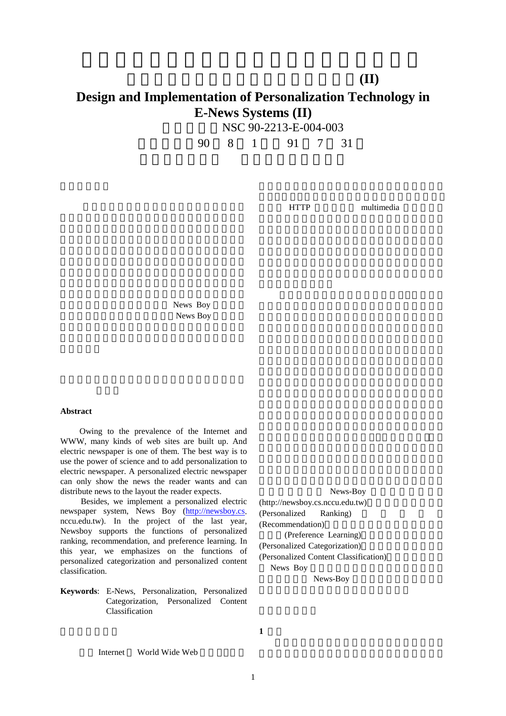## 電子報系統中個人化技術的設計與實作**(II) Design and Implementation of Personalization Technology in E-News Systems (II)**

|  |  | NSC 90-2213-E-004-003 |  |
|--|--|-----------------------|--|
|  |  |                       |  |

執行期限:90 8 1 日至 91 7 31

HTTP multimedia

News Boy News Boy

## **Abstract**

Owing to the prevalence of the Internet and WWW, many kinds of web sites are built up. And electric newspaper is one of them. The best way is to use the power of science and to add personalization to electric newspaper. A personalized electric newspaper can only show the news the reader wants and can distribute news to the layout the reader expects.

Besides, we implement a personalized electric newspaper system, News Boy (http://newsboy.cs. nccu.edu.tw). In the project of the last year, Newsboy supports the functions of personalized ranking, recommendation, and preference learning. In this year, we emphasizes on the functions of personalized categorization and personalized content classification.

**Keywords**: E-News, Personalization, Personalized Categorization, Personalized Content Classification

News-Boy  $(http://newsboy.cs.nccu.edu.tw)$ (Personalized Ranking) (Recommendation) (Preference Learning) (Personalized Categorization) (Personalized Content Classification) News Boy News-Boy

**1** 原理

Internet World Wide Web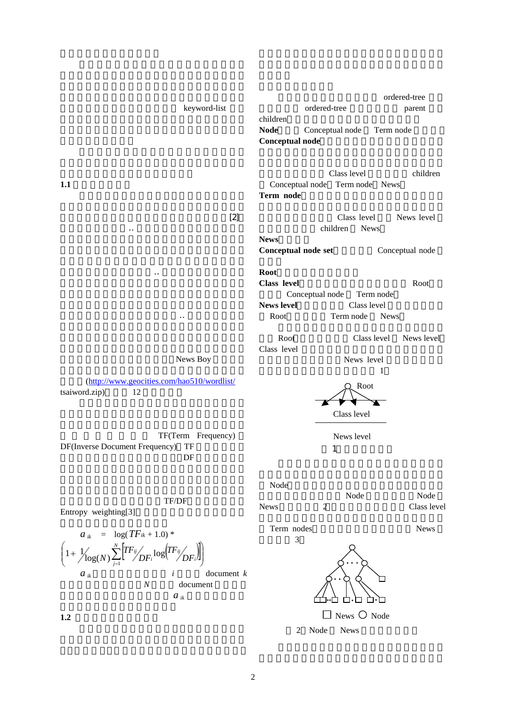| children<br><b>Node</b><br>Conceptual node<br>Term node<br><b>Conceptual node</b><br>Class level<br>children<br>1.1<br>Conceptual node Term node News<br>Term node<br>$[2]$<br>Class level<br>News level<br>children<br><b>News</b><br><b>News</b><br>Conceptual node set<br>Conceptual node<br><b>Root</b> |
|-------------------------------------------------------------------------------------------------------------------------------------------------------------------------------------------------------------------------------------------------------------------------------------------------------------|
|                                                                                                                                                                                                                                                                                                             |
|                                                                                                                                                                                                                                                                                                             |
|                                                                                                                                                                                                                                                                                                             |
|                                                                                                                                                                                                                                                                                                             |
| <b>Class level</b><br>Root<br>Conceptual node<br>Term node<br><b>News level</b><br>Class level<br>Term node<br>Root<br><b>News</b>                                                                                                                                                                          |
| Root<br>Class level<br>News level<br>Class level                                                                                                                                                                                                                                                            |
| News Boy<br>News level<br>1                                                                                                                                                                                                                                                                                 |
| (http://www.geocities.com/hao510/wordlist/<br>Root<br>tsaiword.zip)<br>12                                                                                                                                                                                                                                   |
| Class level                                                                                                                                                                                                                                                                                                 |
| TF(Term Frequency)<br>News level<br>DF(Inverse Document Frequency)<br>TF<br>1<br>DF                                                                                                                                                                                                                         |
| Node                                                                                                                                                                                                                                                                                                        |
| Node<br>Node<br>TF/DF<br>News<br>$\overline{2}$<br>Class level<br>Entropy weighting[3]                                                                                                                                                                                                                      |
| Term nodes<br><b>News</b><br>$a_{ik}$ = $\log(TF_{ik} + 1.0)^*$<br>3                                                                                                                                                                                                                                        |
|                                                                                                                                                                                                                                                                                                             |
| document $k$<br>$a_{ik}$<br>i<br>$\cal N$<br>document                                                                                                                                                                                                                                                       |
| $a_{ik}$<br>News $\bigcirc$ Node<br>1.2                                                                                                                                                                                                                                                                     |

2 Node News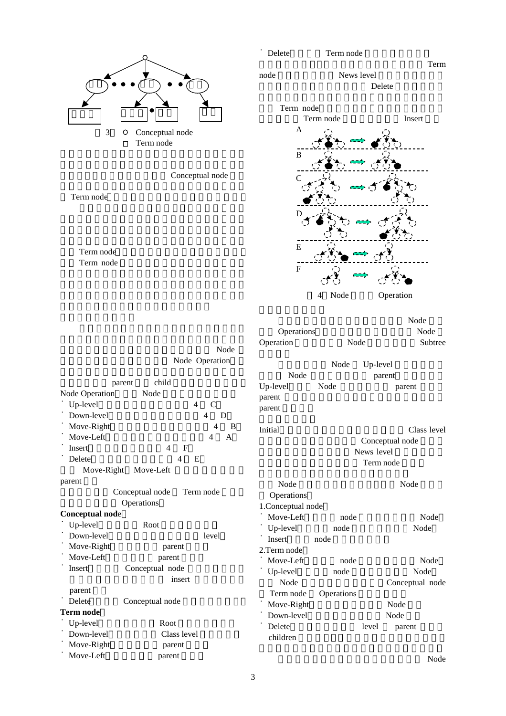

Conceptual node

Term node

Term node Term node

|                        | Node<br>Node Operation       |  |  |
|------------------------|------------------------------|--|--|
|                        | child<br>parent              |  |  |
| <b>Node Operation</b>  | Node                         |  |  |
| Up-level               | $\overline{4}$<br>C          |  |  |
| Down-level             | 4<br>D                       |  |  |
| Move-Right             | 4<br>B                       |  |  |
| Move-Left              | 4<br>$\overline{A}$          |  |  |
| Insert                 | 4<br>$_{\rm F}$              |  |  |
| Delete                 | 4<br>E                       |  |  |
|                        | Move-Right Move-Left         |  |  |
| parent                 |                              |  |  |
|                        | Conceptual node<br>Term node |  |  |
|                        | Operations                   |  |  |
| <b>Conceptual node</b> |                              |  |  |
| Up-level               | Root                         |  |  |
| Down-level             | level                        |  |  |
| Move-Right             | parent                       |  |  |
| Move-Left              | parent                       |  |  |
| Insert                 | Conceptual node              |  |  |
|                        | insert                       |  |  |
| parent                 |                              |  |  |
| Delete                 | Conceptual node              |  |  |
| Term node              |                              |  |  |
| Up-level               | Root                         |  |  |
| Down-level             | Class level                  |  |  |
| Move-Right             | parent                       |  |  |
| Move-Left              | parent                       |  |  |



Term

node News level



Delete

| Operations<br>Operation      | Node       |            | Node<br>Node<br>Subtree        |
|------------------------------|------------|------------|--------------------------------|
|                              | Node       | Up-level   |                                |
| Node                         |            |            | parent                         |
| Up-level<br>parent<br>parent | Node       |            | parent                         |
| Initial                      |            |            | Class level<br>Conceptual node |
|                              |            | News level |                                |
|                              |            | Term node  |                                |
| Node                         |            |            | Node                           |
| Operations                   |            |            |                                |
| 1.Conceptual node            |            |            |                                |
| Move-Left                    | node       |            | Node                           |
| Up-level                     | node       |            | Node                           |
| <b>Insert</b>                | node       |            |                                |
| 2. Term node                 |            |            |                                |
| Move-Left                    | node       |            | Node                           |
| Up-level                     | node       |            | Node                           |
| Node                         |            |            | Conceptual node                |
| Term node                    | Operations |            |                                |
| Move-Right                   |            |            | Node                           |
| Down-level                   |            |            | Node                           |
| Delete                       |            | level      | parent                         |
| children                     |            |            |                                |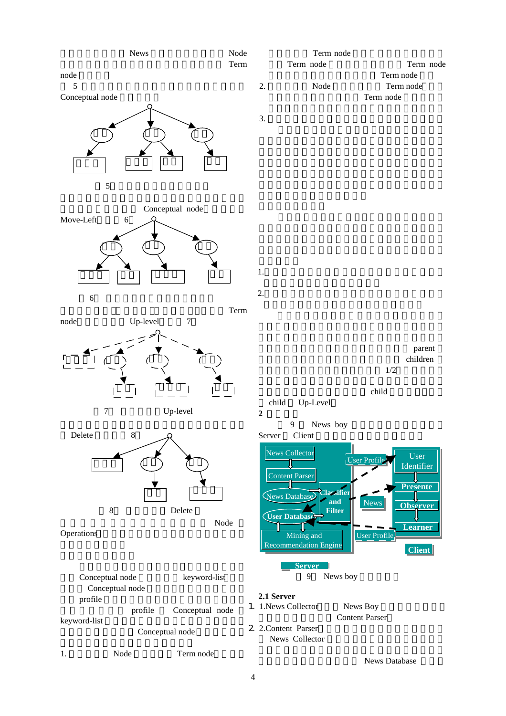